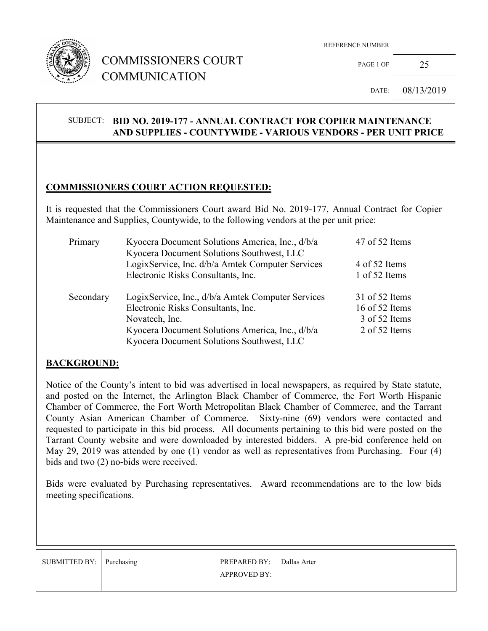

## COMMISSIONERS COURT COMMUNICATION

REFERENCE NUMBER

PAGE 1 OF 25

DATE: 08/13/2019

### SUBJECT: **BID NO. 2019-177 - ANNUAL CONTRACT FOR COPIER MAINTENANCE AND SUPPLIES - COUNTYWIDE - VARIOUS VENDORS - PER UNIT PRICE**

#### **COMMISSIONERS COURT ACTION REQUESTED:**

It is requested that the Commissioners Court award Bid No. 2019-177, Annual Contract for Copier Maintenance and Supplies, Countywide, to the following vendors at the per unit price:

| Primary   | Kyocera Document Solutions America, Inc., d/b/a   | 47 of 52 Items |  |
|-----------|---------------------------------------------------|----------------|--|
|           | Kyocera Document Solutions Southwest, LLC         |                |  |
|           | LogixService, Inc. d/b/a Amtek Computer Services  | 4 of 52 Items  |  |
|           | Electronic Risks Consultants, Inc.                | 1 of 52 Items  |  |
| Secondary | LogixService, Inc., d/b/a Amtek Computer Services | 31 of 52 Items |  |
|           | Electronic Risks Consultants, Inc.                | 16 of 52 Items |  |
|           | Novatech, Inc.                                    | 3 of 52 Items  |  |
|           | Kyocera Document Solutions America, Inc., d/b/a   | 2 of 52 Items  |  |
|           | Kyocera Document Solutions Southwest, LLC         |                |  |

#### **BACKGROUND:**

Notice of the County's intent to bid was advertised in local newspapers, as required by State statute, and posted on the Internet, the Arlington Black Chamber of Commerce, the Fort Worth Hispanic Chamber of Commerce, the Fort Worth Metropolitan Black Chamber of Commerce, and the Tarrant County Asian American Chamber of Commerce. Sixty-nine (69) vendors were contacted and requested to participate in this bid process. All documents pertaining to this bid were posted on the Tarrant County website and were downloaded by interested bidders. A pre-bid conference held on May 29, 2019 was attended by one (1) vendor as well as representatives from Purchasing. Four (4) bids and two (2) no-bids were received.

Bids were evaluated by Purchasing representatives. Award recommendations are to the low bids meeting specifications.

| SUBMITTED BY: Purchasing | PREPARED BY:   Dallas Arter |  |
|--------------------------|-----------------------------|--|
|                          | <b>APPROVED BY:</b>         |  |